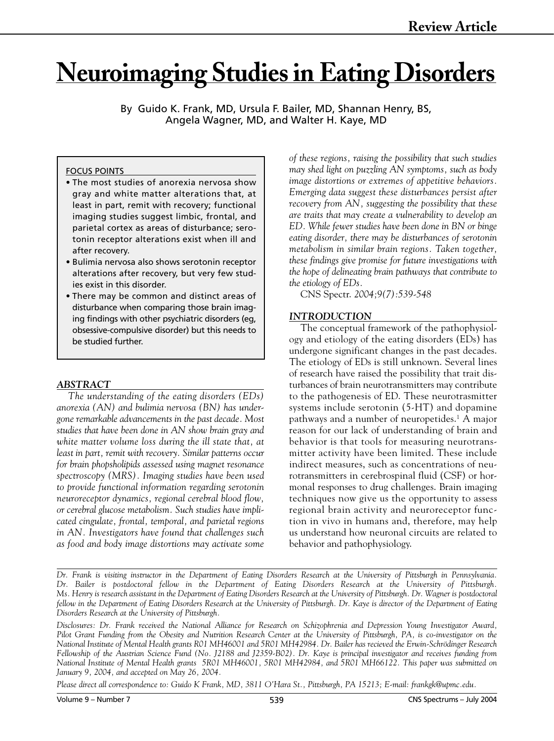# **Neuroimaging Studies in Eating Disorders**

By Guido K. Frank, MD, Ursula F. Bailer, MD, Shannan Henry, BS, Angela Wagner, MD, and Walter H. Kaye, MD

#### FOCUS POINTS

- The most studies of anorexia nervosa show gray and white matter alterations that, at least in part, remit with recovery; functional imaging studies suggest limbic, frontal, and parietal cortex as areas of disturbance; serotonin receptor alterations exist when ill and after recovery.
- Bulimia nervosa also shows serotonin receptor alterations after recovery, but very few studies exist in this disorder.
- There may be common and distinct areas of disturbance when comparing those brain imaging findings with other psychiatric disorders (eg, obsessive-compulsive disorder) but this needs to be studied further.

#### *ABSTRACT*

*The understanding of the eating disorders (EDs) anorexia (AN) and bulimia nervosa (BN) has undergone remarkable advancements in the past decade. Most studies that have been done in AN show brain gray and white matter volume loss during the ill state that, at least in part, remit with recovery. Similar patterns occur for brain phopsholipids assessed using magnet resonance spectroscopy (MRS). Imaging studies have been used to provide functional information regarding serotonin neuroreceptor dynamics, regional cerebral blood flow, or cerebral glucose metabolism. Such studies have implicated cingulate, frontal, temporal, and parietal regions in AN. Investigators have found that challenges such as food and body image distortions may activate some* 

*of these regions, raising the possibility that such studies may shed light on puzzling AN symptoms, such as body image distortions or extremes of appetitive behaviors. Emerging data suggest these disturbances persist after recovery from AN, suggesting the possibility that these are traits that may create a vulnerability to develop an ED. While fewer studies have been done in BN or binge eating disorder, there may be disturbances of serotonin metabolism in similar brain regions. Taken together, these findings give promise for future investigations with the hope of delineating brain pathways that contribute to the etiology of EDs.* 

CNS Spectr. *2004;9(7):539-548*

#### *INTRODUCTION*

The conceptual framework of the pathophysiology and etiology of the eating disorders (EDs) has undergone significant changes in the past decades. The etiology of EDs is still unknown. Several lines of research have raised the possibility that trait disturbances of brain neurotransmitters may contribute to the pathogenesis of ED. These neurotrasmitter systems include serotonin (5-HT) and dopamine pathways and a number of neuropetides.1 A major reason for our lack of understanding of brain and behavior is that tools for measuring neurotransmitter activity have been limited. These include indirect measures, such as concentrations of neurotransmitters in cerebrospinal fluid (CSF) or hormonal responses to drug challenges. Brain imaging techniques now give us the opportunity to assess regional brain activity and neuroreceptor function in vivo in humans and, therefore, may help us understand how neuronal circuits are related to behavior and pathophysiology.

*Please direct all correspondence to: Guido K Frank, MD, 3811 O'Hara St., Pittsburgh, PA 15213; E-mail: frankgk@upmc.edu.*

*Dr. Frank is visiting instructor in the Department of Eating Disorders Research at the University of Pittsburgh in Pennsylvania. Dr. Bailer is postdoctoral fellow in the Department of Eating Disorders Research at the University of Pittsburgh. Ms. Henry is research assistant in the Department of Eating Disorders Research at the University of Pittsburgh. Dr. Wagner is postdoctoral fellow in the Department of Eating Disorders Research at the University of Pittsburgh. Dr. Kaye is director of the Department of Eating Disorders Research at the University of Pittsburgh.* 

*Disclosures: Dr. Frank received the National Alliance for Research on Schizophrenia and Depression Young Investigator Award, Pilot Grant Funding from the Obesity and Nutrition Research Center at the University of Pittsburgh, PA, is co-investigator on the National Institute of Mental Health grants R01 MH46001 and 5R01 MH42984. Dr. Bailer has recieved the Erwin-Schrödinger Research Fellowship of the Austrian Science Fund (No. J2188 and J2359-B02). Dr. Kaye is principal investigator and receives funding from National Institute of Mental Health grants 5R01 MH46001, 5R01 MH42984, and 5R01 MH66122. This paper was submitted on January 9, 2004, and accepted on May 26, 2004.*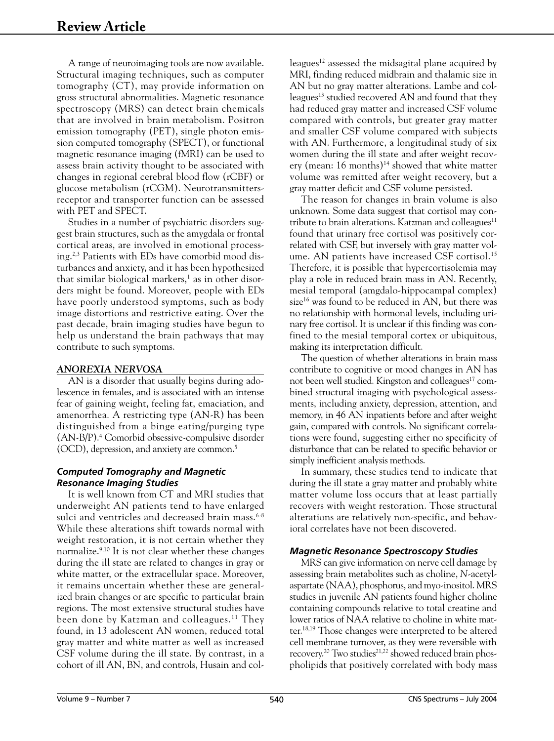A range of neuroimaging tools are now available. Structural imaging techniques, such as computer tomography (CT), may provide information on gross structural abnormalities. Magnetic resonance spectroscopy (MRS) can detect brain chemicals that are involved in brain metabolism. Positron emission tomography (PET), single photon emission computed tomography (SPECT), or functional magnetic resonance imaging (fMRI) can be used to assess brain activity thought to be associated with changes in regional cerebral blood flow (rCBF) or glucose metabolism (rCGM). Neurotransmittersreceptor and transporter function can be assessed with PET and SPECT.

Studies in a number of psychiatric disorders suggest brain structures, such as the amygdala or frontal cortical areas, are involved in emotional processing.2,3 Patients with EDs have comorbid mood disturbances and anxiety, and it has been hypothesized that similar biological markers,<sup>1</sup> as in other disorders might be found. Moreover, people with EDs have poorly understood symptoms, such as body image distortions and restrictive eating. Over the past decade, brain imaging studies have begun to help us understand the brain pathways that may contribute to such symptoms.

#### *ANOREXIA NERVOSA*

 AN is a disorder that usually begins during adolescence in females, and is associated with an intense fear of gaining weight, feeling fat, emaciation, and amenorrhea. A restricting type (AN-R) has been distinguished from a binge eating/purging type (AN-B/P).4 Comorbid obsessive-compulsive disorder (OCD), depression, and anxiety are common.5

#### *Computed Tomography and Magnetic Resonance Imaging Studies*

It is well known from CT and MRI studies that underweight AN patients tend to have enlarged sulci and ventricles and decreased brain mass.<sup>6-8</sup> While these alterations shift towards normal with weight restoration, it is not certain whether they normalize.9,10 It is not clear whether these changes during the ill state are related to changes in gray or white matter, or the extracellular space. Moreover, it remains uncertain whether these are generalized brain changes or are specific to particular brain regions. The most extensive structural studies have been done by Katzman and colleagues.<sup>11</sup> They found, in 13 adolescent AN women, reduced total gray matter and white matter as well as increased CSF volume during the ill state. By contrast, in a cohort of ill AN, BN, and controls, Husain and col-

leagues<sup>12</sup> assessed the midsagital plane acquired by MRI, finding reduced midbrain and thalamic size in AN but no gray matter alterations. Lambe and colleagues<sup>13</sup> studied recovered AN and found that they had reduced gray matter and increased CSF volume compared with controls, but greater gray matter and smaller CSF volume compared with subjects with AN. Furthermore, a longitudinal study of six women during the ill state and after weight recovery (mean: 16 months)<sup>14</sup> showed that white matter volume was remitted after weight recovery, but a gray matter deficit and CSF volume persisted.

The reason for changes in brain volume is also unknown. Some data suggest that cortisol may contribute to brain alterations. Katzman and colleagues<sup>11</sup> found that urinary free cortisol was positively correlated with CSF, but inversely with gray matter volume. AN patients have increased CSF cortisol.<sup>15</sup> Therefore, it is possible that hypercortisolemia may play a role in reduced brain mass in AN. Recently, mesial temporal (amgdalo-hippocampal complex) size<sup>16</sup> was found to be reduced in AN, but there was no relationship with hormonal levels, including urinary free cortisol. It is unclear if this finding was confined to the mesial temporal cortex or ubiquitous, making its interpretation difficult.

The question of whether alterations in brain mass contribute to cognitive or mood changes in AN has not been well studied. Kingston and colleagues<sup>17</sup> combined structural imaging with psychological assessments, including anxiety, depression, attention, and memory, in 46 AN inpatients before and after weight gain, compared with controls. No significant correlations were found, suggesting either no specificity of disturbance that can be related to specific behavior or simply inefficient analysis methods.

In summary, these studies tend to indicate that during the ill state a gray matter and probably white matter volume loss occurs that at least partially recovers with weight restoration. Those structural alterations are relatively non-specific, and behavioral correlates have not been discovered.

# *Magnetic Resonance Spectroscopy Studies*

MRS can give information on nerve cell damage by assessing brain metabolites such as choline, *N*-acetylaspartate (NAA), phosphorus, and myo-inositol. MRS studies in juvenile AN patients found higher choline containing compounds relative to total creatine and lower ratios of NAA relative to choline in white matter.18,19 Those changes were interpreted to be altered cell membrane turnover, as they were reversible with recovery.<sup>20</sup> Two studies<sup>21,22</sup> showed reduced brain phospholipids that positively correlated with body mass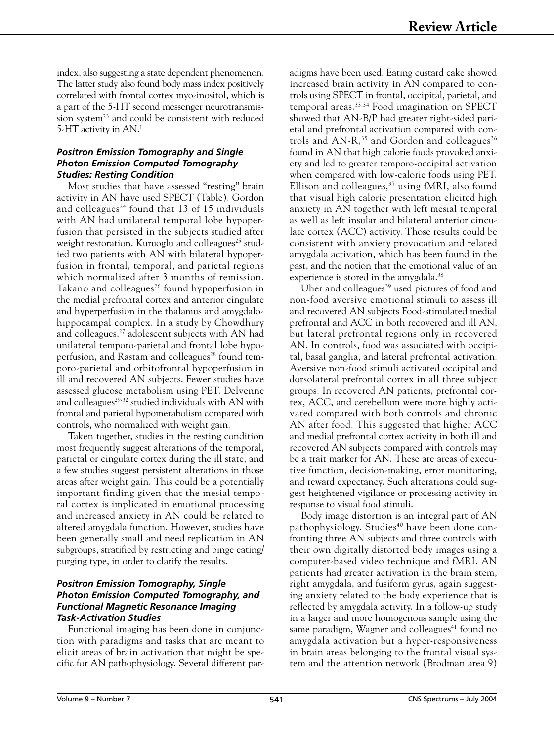index, also suggesting a state dependent phenomenon. The latter study also found body mass index positively correlated with frontal cortex myo-inositol, which is a part of the 5-HT second messenger neurotransmission system<sup>23</sup> and could be consistent with reduced 5-HT activity in AN.1

# *Positron Emission Tomography and Single Photon Emission Computed Tomography Studies: Resting Condition*

Most studies that have assessed "resting" brain activity in AN have used SPECT (Table). Gordon and colleagues<sup>24</sup> found that  $13$  of  $15$  individuals with AN had unilateral temporal lobe hypoperfusion that persisted in the subjects studied after weight restoration. Kuruoglu and colleagues<sup>25</sup> studied two patients with AN with bilateral hypoperfusion in frontal, temporal, and parietal regions which normalized after 3 months of remission. Takano and colleagues<sup>26</sup> found hypoperfusion in the medial prefrontal cortex and anterior cingulate and hyperperfusion in the thalamus and amygdalohippocampal complex. In a study by Chowdhury and colleagues,<sup>27</sup> adolescent subjects with AN had unilateral temporo-parietal and frontal lobe hypoperfusion, and Rastam and colleagues<sup>28</sup> found temporo-parietal and orbitofrontal hypoperfusion in ill and recovered AN subjects. Fewer studies have assessed glucose metabolism using PET. Delvenne and colleagues<sup>29-32</sup> studied individuals with AN with frontal and parietal hypometabolism compared with controls, who normalized with weight gain.

Taken together, studies in the resting condition most frequently suggest alterations of the temporal, parietal or cingulate cortex during the ill state, and a few studies suggest persistent alterations in those areas after weight gain. This could be a potentially important finding given that the mesial temporal cortex is implicated in emotional processing and increased anxiety in AN could be related to altered amygdala function. However, studies have been generally small and need replication in AN subgroups, stratified by restricting and binge eating/ purging type, in order to clarify the results.

# *Positron Emission Tomography, Single Photon Emission Computed Tomography, and Functional Magnetic Resonance Imaging Task-Activation Studies*

Functional imaging has been done in conjunction with paradigms and tasks that are meant to elicit areas of brain activation that might be specific for AN pathophysiology. Several different paradigms have been used. Eating custard cake showed increased brain activity in AN compared to controls using SPECT in frontal, occipital, parietal, and temporal areas.33,34 Food imagination on SPECT showed that AN-B/P had greater right-sided parietal and prefrontal activation compared with controls and  $AN-R$ ,<sup>35</sup> and Gordon and colleagues<sup>36</sup> found in AN that high calorie foods provoked anxiety and led to greater temporo-occipital activation when compared with low-calorie foods using PET. Ellison and colleagues,<sup>37</sup> using fMRI, also found that visual high calorie presentation elicited high anxiety in AN together with left mesial temporal as well as left insular and bilateral anterior cinculate cortex (ACC) activity. Those results could be consistent with anxiety provocation and related amygdala activation, which has been found in the past, and the notion that the emotional value of an experience is stored in the amygdala.<sup>38</sup>

Uher and colleagues<sup>39</sup> used pictures of food and non-food aversive emotional stimuli to assess ill and recovered AN subjects Food-stimulated medial prefrontal and ACC in both recovered and ill AN, but lateral prefrontal regions only in recovered AN. In controls, food was associated with occipital, basal ganglia, and lateral prefrontal activation. Aversive non-food stimuli activated occipital and dorsolateral prefrontal cortex in all three subject groups. In recovered AN patients, prefrontal cortex, ACC, and cerebellum were more highly activated compared with both controls and chronic AN after food. This suggested that higher ACC and medial prefrontal cortex activity in both ill and recovered AN subjects compared with controls may be a trait marker for AN. These are areas of executive function, decision-making, error monitoring, and reward expectancy. Such alterations could suggest heightened vigilance or processing activity in response to visual food stimuli.

Body image distortion is an integral part of AN pathophysiology. Studies<sup>40</sup> have been done confronting three AN subjects and three controls with their own digitally distorted body images using a computer-based video technique and fMRI. AN patients had greater activation in the brain stem, right amygdala, and fusiform gyrus, again suggesting anxiety related to the body experience that is reflected by amygdala activity. In a follow-up study in a larger and more homogenous sample using the same paradigm, Wagner and colleagues<sup> $41$ </sup> found no amygdala activation but a hyper-responsiveness in brain areas belonging to the frontal visual system and the attention network (Brodman area 9)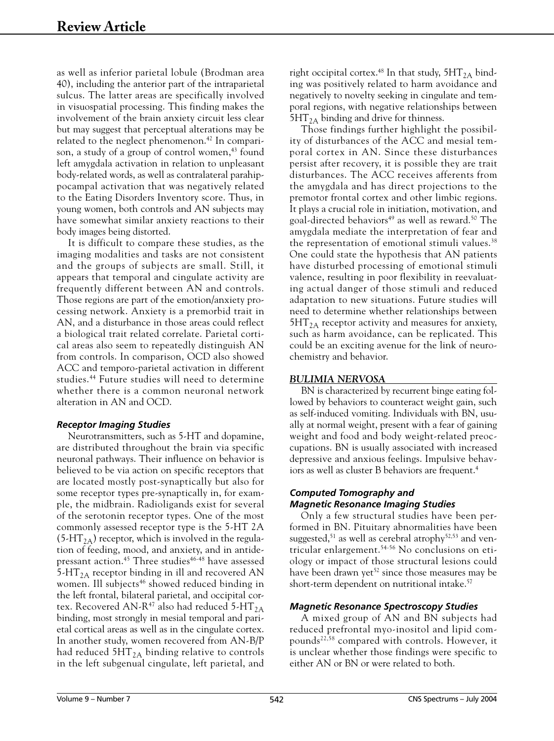as well as inferior parietal lobule (Brodman area 40), including the anterior part of the intraparietal sulcus. The latter areas are specifically involved in visuospatial processing. This finding makes the involvement of the brain anxiety circuit less clear but may suggest that perceptual alterations may be related to the neglect phenomenon.<sup>42</sup> In comparison, a study of a group of control women,<sup>43</sup> found left amygdala activation in relation to unpleasant body-related words, as well as contralateral parahippocampal activation that was negatively related to the Eating Disorders Inventory score. Thus, in young women, both controls and AN subjects may have somewhat similar anxiety reactions to their body images being distorted.

It is difficult to compare these studies, as the imaging modalities and tasks are not consistent and the groups of subjects are small. Still, it appears that temporal and cingulate activity are frequently different between AN and controls. Those regions are part of the emotion/anxiety processing network. Anxiety is a premorbid trait in AN, and a disturbance in those areas could reflect a biological trait related correlate. Parietal cortical areas also seem to repeatedly distinguish AN from controls. In comparison, OCD also showed ACC and temporo-parietal activation in different studies.44 Future studies will need to determine whether there is a common neuronal network alteration in AN and OCD.

# *Receptor Imaging Studies*

Neurotransmitters, such as 5-HT and dopamine, are distributed throughout the brain via specific neuronal pathways. Their influence on behavior is believed to be via action on specific receptors that are located mostly post-synaptically but also for some receptor types pre-synaptically in, for example, the midbrain. Radioligands exist for several of the serotonin receptor types. One of the most commonly assessed receptor type is the 5-HT 2A  $(5-HT<sub>2A</sub>)$  receptor, which is involved in the regulation of feeding, mood, and anxiety, and in antidepressant action.<sup>45</sup> Three studies<sup>46-48</sup> have assessed 5-HT<sub>2A</sub> receptor binding in ill and recovered AN women. Ill subjects<sup>46</sup> showed reduced binding in the left frontal, bilateral parietal, and occipital cortex. Recovered AN-R<sup>47</sup> also had reduced 5-HT<sub>2A</sub> binding, most strongly in mesial temporal and parietal cortical areas as well as in the cingulate cortex. In another study, women recovered from AN-B/P had reduced  $5HT_{2A}$  binding relative to controls in the left subgenual cingulate, left parietal, and

right occipital cortex.<sup>48</sup> In that study,  $5HT_{2A}$  binding was positively related to harm avoidance and negatively to novelty seeking in cingulate and temporal regions, with negative relationships between  $5HT<sub>2A</sub>$  binding and drive for thinness.

Those findings further highlight the possibility of disturbances of the ACC and mesial temporal cortex in AN. Since these disturbances persist after recovery, it is possible they are trait disturbances. The ACC receives afferents from the amygdala and has direct projections to the premotor frontal cortex and other limbic regions. It plays a crucial role in initiation, motivation, and goal-directed behaviors<sup>49</sup> as well as reward.<sup>50</sup> The amygdala mediate the interpretation of fear and the representation of emotional stimuli values.<sup>38</sup> One could state the hypothesis that AN patients have disturbed processing of emotional stimuli valence, resulting in poor flexibility in reevaluating actual danger of those stimuli and reduced adaptation to new situations. Future studies will need to determine whether relationships between  $5HT<sub>2A</sub>$  receptor activity and measures for anxiety, such as harm avoidance, can be replicated. This could be an exciting avenue for the link of neurochemistry and behavior.

# *BULIMIA NERVOSA*

BN is characterized by recurrent binge eating followed by behaviors to counteract weight gain, such as self-induced vomiting. Individuals with BN, usually at normal weight, present with a fear of gaining weight and food and body weight-related preoccupations. BN is usually associated with increased depressive and anxious feelings. Impulsive behaviors as well as cluster B behaviors are frequent.<sup>4</sup>

# *Computed Tomography and Magnetic Resonance Imaging Studies*

Only a few structural studies have been performed in BN. Pituitary abnormalities have been suggested,<sup>51</sup> as well as cerebral atrophy<sup>52,53</sup> and ventricular enlargement.54-56 No conclusions on etiology or impact of those structural lesions could have been drawn yet<sup>52</sup> since those measures may be short-term dependent on nutritional intake.<sup>57</sup>

# *Magnetic Resonance Spectroscopy Studies*

A mixed group of AN and BN subjects had reduced prefrontal myo-inositol and lipid compounds22,58 compared with controls. However, it is unclear whether those findings were specific to either AN or BN or were related to both.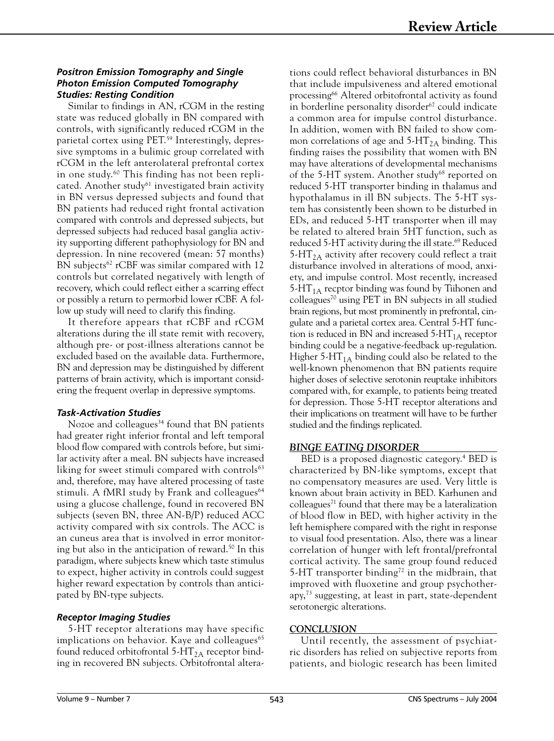# *Positron Emission Tomography and Single Photon Emission Computed Tomography Studies: Resting Condition*

Similar to findings in AN, rCGM in the resting state was reduced globally in BN compared with controls, with significantly reduced rCGM in the parietal cortex using PET.59 Interestingly, depressive symptoms in a bulimic group correlated with rCGM in the left anterolateral prefrontal cortex in one study.60 This finding has not been replicated. Another study $61$  investigated brain activity in BN versus depressed subjects and found that BN patients had reduced right frontal activation compared with controls and depressed subjects, but depressed subjects had reduced basal ganglia activity supporting different pathophysiology for BN and depression. In nine recovered (mean: 57 months) BN subjects<sup>62</sup> rCBF was similar compared with  $12$ controls but correlated negatively with length of recovery, which could reflect either a scarring effect or possibly a return to permorbid lower rCBF. A follow up study will need to clarify this finding.

It therefore appears that rCBF and rCGM alterations during the ill state remit with recovery, although pre- or post-illness alterations cannot be excluded based on the available data. Furthermore, BN and depression may be distinguished by different patterns of brain activity, which is important considering the frequent overlap in depressive symptoms.

# *Task-Activation Studies*

Nozoe and colleagues<sup>34</sup> found that BN patients had greater right inferior frontal and left temporal blood flow compared with controls before, but similar activity after a meal. BN subjects have increased liking for sweet stimuli compared with controls $63$ and, therefore, may have altered processing of taste stimuli. A fMRI study by Frank and colleagues $64$ using a glucose challenge, found in recovered BN subjects (seven BN, three AN-B/P) reduced ACC activity compared with six controls. The ACC is an cuneus area that is involved in error monitoring but also in the anticipation of reward.50 In this paradigm, where subjects knew which taste stimulus to expect, higher activity in controls could suggest higher reward expectation by controls than anticipated by BN-type subjects.

# *Receptor Imaging Studies*

5-HT receptor alterations may have specific implications on behavior. Kaye and colleagues<sup>65</sup> found reduced orbitofrontal  $5-HT<sub>2A</sub>$  receptor binding in recovered BN subjects. Orbitofrontal altera-

tions could reflect behavioral disturbances in BN that include impulsiveness and altered emotional processing<sup>66</sup> Altered orbitofrontal activity as found in borderline personality disorder<sup>67</sup> could indicate a common area for impulse control disturbance. In addition, women with BN failed to show common correlations of age and  $5-HT_{2A}$  binding. This finding raises the possibility that women with BN may have alterations of developmental mechanisms of the 5-HT system. Another study<sup>68</sup> reported on reduced 5-HT transporter binding in thalamus and hypothalamus in ill BN subjects. The 5-HT system has consistently been shown to be disturbed in EDs, and reduced 5-HT transporter when ill may be related to altered brain 5HT function, such as reduced 5-HT activity during the ill state.<sup>69</sup> Reduced 5- $HT_{2A}$  activity after recovery could reflect a trait disturbance involved in alterations of mood, anxiety, and impulse control. Most recently, increased 5-HT<sub>1A</sub> recptor binding was found by Tiihonen and colleagues70 using PET in BN subjects in all studied brain regions, but most prominently in prefrontal, cingulate and a parietal cortex area. Central 5-HT function is reduced in BN and increased  $5-HT<sub>1A</sub>$  receptor binding could be a negative-feedback up-regulation. Higher  $5$ -HT<sub>1A</sub> binding could also be related to the well-known phenomenon that BN patients require higher doses of selective serotonin reuptake inhibitors compared with, for example, to patients being treated for depression. Those 5-HT receptor alterations and their implications on treatment will have to be further studied and the findings replicated.

# *BINGE EATING DISORDER*

 BED is a proposed diagnostic category.4 BED is characterized by BN-like symptoms, except that no compensatory measures are used. Very little is known about brain activity in BED. Karhunen and colleagues71 found that there may be a lateralization of blood flow in BED, with higher activity in the left hemisphere compared with the right in response to visual food presentation. Also, there was a linear correlation of hunger with left frontal/prefrontal cortical activity. The same group found reduced 5-HT transporter binding<sup>72</sup> in the midbrain, that improved with fluoxetine and group psychotherapy,73 suggesting, at least in part, state-dependent serotonergic alterations.

# *CONCLUSION*

Until recently, the assessment of psychiatric disorders has relied on subjective reports from patients, and biologic research has been limited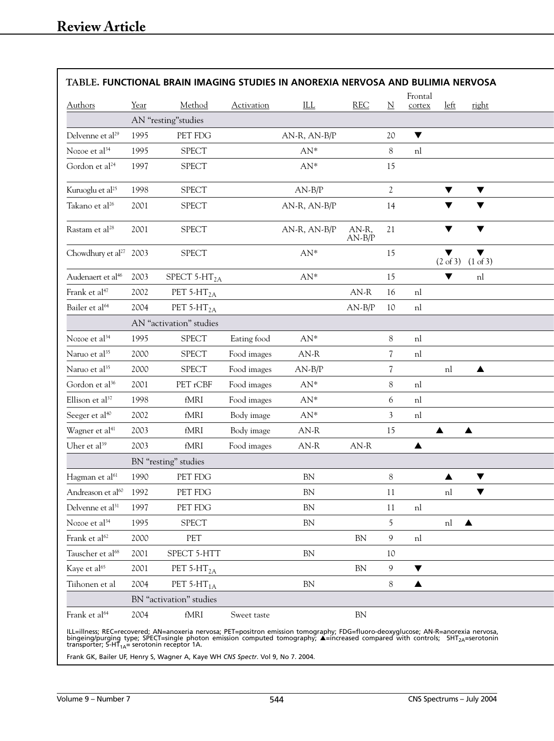|                                    |             |                             |                   | TABLE. FUNCTIONAL BRAIN IMAGING STUDIES IN ANOREXIA NERVOSA AND BULIMIA NERVOSA |                                          |                 |                               |                                   |                                         |  |  |
|------------------------------------|-------------|-----------------------------|-------------------|---------------------------------------------------------------------------------|------------------------------------------|-----------------|-------------------------------|-----------------------------------|-----------------------------------------|--|--|
| <u>Authors</u>                     | <u>Year</u> | Method                      | <b>Activation</b> | $L_{\perp}$                                                                     | <b>REC</b>                               | $\underline{N}$ | Frontal<br><u>cortex</u> left |                                   | <u>right</u>                            |  |  |
|                                    |             | AN "resting" studies        |                   |                                                                                 |                                          |                 |                               |                                   |                                         |  |  |
| Delvenne et al <sup>29</sup>       | 1995        | PET FDG                     |                   | AN-R, AN-B/P                                                                    |                                          | 20              | $\blacktriangledown$          |                                   |                                         |  |  |
| Nozoe et al <sup>34</sup>          | 1995        | ${\rm SPECT}$               |                   | $AN^*$                                                                          |                                          | 8 <sup>8</sup>  | $\mathop{\rm nl}\nolimits$    |                                   |                                         |  |  |
| Gordon et al <sup>24</sup>         | 1997        | <b>SPECT</b>                |                   | $AN^*$                                                                          |                                          | 15              |                               |                                   |                                         |  |  |
| Kuruoglu et al <sup>25</sup>       | 1998        | <b>SPECT</b>                |                   | $AN-B/P$                                                                        |                                          | $\overline{2}$  |                               | $\blacktriangledown$              | $\blacktriangledown$                    |  |  |
| Takano et al <sup>26</sup>         | 2001        | <b>SPECT</b>                |                   | AN-R, AN-B/P                                                                    |                                          | 14              |                               | $\blacktriangledown$              | $\blacktriangledown$                    |  |  |
| Rastam et al <sup>28</sup>         | 2001        | <b>SPECT</b>                |                   | AN-R, AN-B/P AN-R, AN-B/P                                                       |                                          | 21              |                               | $\blacktriangledown$              | $\blacktriangledown$                    |  |  |
| Chowdhury et al <sup>27</sup> 2003 |             | <b>SPECT</b>                |                   | $AN^*$                                                                          |                                          | 15              |                               |                                   | $(2 \text{ of } 3)$ $(1 \text{ of } 3)$ |  |  |
| Audenaert et al <sup>46</sup> 2003 |             | SPECT $5$ -HT <sub>2A</sub> |                   | $AN^*$                                                                          |                                          | 15              |                               | $\blacktriangledown$              | nl                                      |  |  |
| Frank et al <sup>47</sup>          | 2002        | PET $5$ -HT <sub>2A</sub>   |                   |                                                                                 | AN-R                                     | 16              | nl                            |                                   |                                         |  |  |
| Bailer et al <sup>64</sup>         | 2004        | PET $5$ -HT <sub>2A</sub>   |                   |                                                                                 | $AN-B/P$                                 | 10              | nl                            |                                   |                                         |  |  |
|                                    |             | AN "activation" studies     |                   |                                                                                 |                                          |                 |                               |                                   |                                         |  |  |
| Nozoe et al <sup>34</sup>          | 1995        | <b>SPECT</b>                | Eating food       | $AN^*$                                                                          |                                          | 8 <sup>8</sup>  | nl                            |                                   |                                         |  |  |
| Naruo et al <sup>35</sup>          | 2000        | <b>SPECT</b>                | Food images       | AN-R                                                                            |                                          | $7\overline{ }$ | nl                            |                                   |                                         |  |  |
| Naruo et al <sup>35</sup>          | 2000        | <b>SPECT</b>                | Food images       | $AN-B/P$                                                                        |                                          | $7\phantom{.0}$ |                               | nl                                | $\blacktriangle$                        |  |  |
| Gordon et al <sup>36</sup>         | 2001        | PET rCBF                    | Food images       | AN*                                                                             |                                          | 8 <sup>8</sup>  | nl                            |                                   |                                         |  |  |
| Ellison et al <sup>37</sup>        | 1998        | fMRI                        | Food images       | $AN^*$                                                                          |                                          | 6               | nl                            |                                   |                                         |  |  |
| Seeger et al <sup>40</sup>         | 2002        | fMRI                        | Body image        | $AN^*$                                                                          |                                          | $\mathfrak{Z}$  | nl                            |                                   |                                         |  |  |
| Wagner et al <sup>41</sup>         | 2003        | fMRI                        | Body image        | AN-R                                                                            |                                          | 15              |                               | $\blacktriangle$ $\blacktriangle$ |                                         |  |  |
| Uher et al <sup>39</sup>           | 2003        | fMRI                        | Food images       | $AN-R$                                                                          | $\mathbb{A}\mathbb{N}\text{-}\mathbb{R}$ |                 | $\blacktriangle$              |                                   |                                         |  |  |
|                                    |             | BN "resting" studies        |                   |                                                                                 |                                          |                 |                               |                                   |                                         |  |  |
| Hagman et al <sup>61</sup>         | 1990        | PET FDG                     |                   | ${\rm BN}$                                                                      |                                          | $8\phantom{.}$  |                               | $\blacktriangle$                  | $\blacktriangledown$                    |  |  |
| Andreason et al<br>$^{60}$ 1992    |             | PET FDG                     |                   | ${\rm BN}$                                                                      |                                          | 11              |                               | nl                                | $\blacktriangledown$                    |  |  |
| Delvenne et al <sup>31</sup>       | 1997        | PET FDG                     |                   | ${\rm BN}$                                                                      |                                          | 11              | nl                            |                                   |                                         |  |  |
| Nozoe et al <sup>34</sup>          | 1995        | <b>SPECT</b>                |                   | <b>BN</b>                                                                       |                                          | $5\overline{)}$ |                               | nl $\quad \blacktriangle$         |                                         |  |  |
| Frank et al <sup>62</sup>          | 2000        | PET                         |                   |                                                                                 | <b>BN</b>                                | 9               | nl                            |                                   |                                         |  |  |
| Tauscher et al <sup>68</sup>       | 2001        | SPECT 5-HTT                 |                   | ${\rm BN}$                                                                      |                                          | 10              |                               |                                   |                                         |  |  |
| Kaye et al <sup>65</sup>           | 2001        | PET $5$ -HT <sub>2A</sub>   |                   |                                                                                 | <b>BN</b>                                | 9               | $\blacktriangledown$          |                                   |                                         |  |  |
| Tiihonen et al                     | 2004        | PET 5-HT $_{1A}$            |                   | <b>BN</b>                                                                       |                                          | 8               | $\blacktriangle$              |                                   |                                         |  |  |
|                                    |             | BN "activation" studies     |                   |                                                                                 |                                          |                 |                               |                                   |                                         |  |  |
| Frank et al <sup>64</sup>          | 2004        | fMRI                        | Sweet taste       |                                                                                 | ${\rm BN}$                               |                 |                               |                                   |                                         |  |  |

ILL=illness; REC=recovered; AN=anoxeria nervosa; PET=positron emission tomography; FDG=fluoro-deoxyglucose; AN-R=anorexia nervosa,<br>bingeing/purging type; SPECT=single photon emission computed tomography; ▲=increased compa

Frank GK, Bailer UF, Henry S, Wagner A, Kaye WH *CNS Spectr*. Vol 9, No 7. 2004.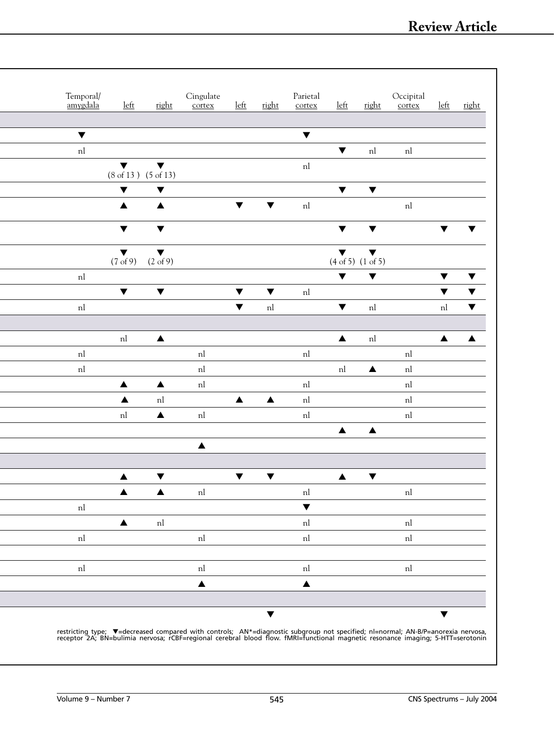٦

| <u>left right</u> | <u>left</u> right Cocipital |                  |                                           | Parietal<br><u>left right cortex</u> |                          |                                                                      | Cingulate<br><u>right</u> Cortex |                      | left                                      | Temporal/<br><u>amygdala</u> |
|-------------------|-----------------------------|------------------|-------------------------------------------|--------------------------------------|--------------------------|----------------------------------------------------------------------|----------------------------------|----------------------|-------------------------------------------|------------------------------|
|                   |                             |                  |                                           |                                      |                          |                                                                      |                                  |                      |                                           |                              |
|                   |                             |                  |                                           | $\blacktriangledown$                 |                          |                                                                      |                                  |                      |                                           | $\blacktriangledown$         |
|                   | nl                          |                  | $\blacktriangledown$ nl                   |                                      |                          |                                                                      |                                  |                      |                                           | $\mathbf{nl}$                |
|                   |                             |                  |                                           | nl                                   |                          |                                                                      |                                  |                      | $(8 \text{ of } 13)$ $(5 \text{ of } 13)$ |                              |
|                   |                             |                  | $\blacktriangledown$ $\blacktriangledown$ |                                      |                          |                                                                      |                                  | $\blacktriangledown$ | $\blacktriangledown$                      |                              |
|                   | $\mathop{\rm nl}\nolimits$  |                  |                                           | nl                                   | $\overline{\phantom{a}}$ | $\blacktriangledown$                                                 |                                  | $\blacktriangle$     | $\blacktriangle$                          |                              |
|                   |                             |                  | $\bullet$ $\bullet$                       |                                      |                          |                                                                      |                                  | $\blacktriangledown$ | $\blacktriangledown$                      |                              |
|                   |                             |                  |                                           |                                      |                          |                                                                      |                                  |                      |                                           |                              |
|                   |                             |                  | $(4 \text{ of } 5)$ $(1 \text{ of } 5)$   |                                      |                          |                                                                      |                                  |                      | $(7 \text{ of } 9)$ $(2 \text{ of } 9)$   |                              |
|                   |                             |                  | $\bullet$ $\bullet$                       |                                      |                          |                                                                      |                                  |                      |                                           | nl                           |
|                   |                             |                  |                                           | nl                                   | $\blacktriangledown$     | $\blacktriangledown$                                                 |                                  | $\blacktriangledown$ | $\blacktriangledown$                      |                              |
|                   |                             | nl               | $\blacktriangledown$                      |                                      | $\,$ nl                  | $\blacktriangledown$                                                 |                                  |                      |                                           | nl                           |
|                   |                             |                  |                                           |                                      |                          |                                                                      |                                  |                      |                                           |                              |
|                   |                             | nl               | $\blacktriangle$                          |                                      |                          |                                                                      |                                  | $\blacktriangle$     | $\mathbf{nl}$                             |                              |
|                   | nl                          |                  |                                           | nl                                   |                          |                                                                      | nl                               |                      |                                           | nl                           |
|                   | $\mathbf{nl}$               | $\blacktriangle$ | nl                                        |                                      |                          |                                                                      | nl                               |                      |                                           | $\mathbf{nl}$                |
|                   | nl                          |                  |                                           | nl                                   |                          |                                                                      | nl                               | $\blacktriangle$     | $\blacktriangle$                          |                              |
|                   | nl                          |                  |                                           | $\mathbf{nl}$                        |                          | $\begin{array}{ccc}\n\blacktriangle & & \blacktriangle\n\end{array}$ |                                  | nl                   | $\blacktriangle$                          |                              |
|                   | nl                          |                  |                                           | nl                                   |                          |                                                                      | nl                               | $\blacktriangle$     | $\mathbf{nl}$                             |                              |
|                   |                             | $\blacktriangle$ | $\blacktriangle$                          |                                      |                          |                                                                      |                                  |                      |                                           |                              |
|                   |                             |                  |                                           |                                      |                          |                                                                      | $\blacktriangle$                 |                      |                                           |                              |
|                   |                             |                  |                                           |                                      |                          |                                                                      |                                  |                      |                                           |                              |
|                   |                             |                  | $\blacktriangle$ $\blacktriangledown$     |                                      | $\overline{\phantom{a}}$ | $\blacktriangledown$                                                 |                                  | $\blacktriangledown$ | $\blacktriangle$                          |                              |
|                   | $\mathbf{nl}$               |                  |                                           | nl                                   |                          |                                                                      | $\mathbf{nl}$                    | $\blacktriangle$     | $\blacktriangle$                          |                              |
|                   |                             |                  |                                           |                                      |                          |                                                                      |                                  |                      |                                           | nl                           |
|                   | nl                          |                  |                                           | nl                                   |                          |                                                                      |                                  | nl                   | $\blacktriangle$                          |                              |
|                   | nl                          |                  |                                           | nl                                   |                          |                                                                      | nl                               |                      |                                           | nl                           |
|                   | nl                          |                  |                                           | nl                                   |                          |                                                                      | nl                               |                      |                                           | nl                           |
|                   |                             |                  |                                           |                                      |                          |                                                                      |                                  |                      |                                           |                              |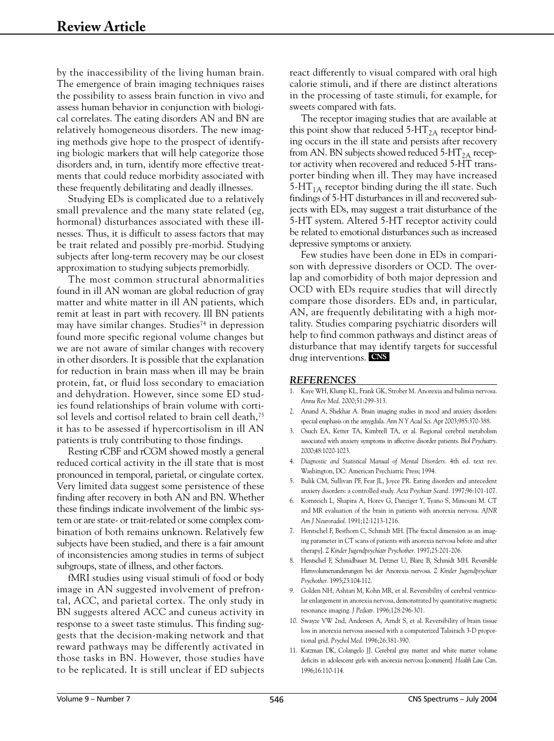by the inaccessibility of the living human brain. The emergence of brain imaging techniques raises the possibility to assess brain function in vivo and assess human behavior in conjunction with biological correlates. The eating disorders AN and BN are relatively homogeneous disorders. The new imaging methods give hope to the prospect of identifying biologic markers that will help categorize those disorders and, in turn, identify more effective treatments that could reduce morbidity associated with these frequently debilitating and deadly illnesses.

Studying EDs is complicated due to a relatively small prevalence and the many state related (eg, hormonal) disturbances associated with these illnesses. Thus, it is difficult to assess factors that may be trait related and possibly pre-morbid. Studying subjects after long-term recovery may be our closest approximation to studying subjects premorbidly.

The most common structural abnormalities found in ill AN woman are global reduction of gray matter and white matter in ill AN patients, which remit at least in part with recovery. Ill BN patients may have similar changes. Studies<sup>74</sup> in depression found more specific regional volume changes but we are not aware of similar changes with recovery in other disorders. It is possible that the explanation for reduction in brain mass when ill may be brain protein, fat, or fluid loss secondary to emaciation and dehydration. However, since some ED studies found relationships of brain volume with cortisol levels and cortisol related to brain cell death,<sup>75</sup> it has to be assessed if hypercortisolism in ill AN patients is truly contributing to those findings.

Resting rCBF and rCGM showed mostly a general reduced cortical activity in the ill state that is most pronounced in temporal, parietal, or cingulate cortex. Very limited data suggest some persistence of these finding after recovery in both AN and BN. Whether these findings indicate involvement of the limbic system or are state- or trait-related or some complex combination of both remains unknown. Relatively few subjects have been studied, and there is a fair amount of inconsistencies among studies in terms of subject subgroups, state of illness, and other factors.

fMRI studies using visual stimuli of food or body image in AN suggested involvement of prefrontal, ACC, and parietal cortex. The only study in BN suggests altered ACC and cuneus activity in response to a sweet taste stimulus. This finding suggests that the decision-making network and that reward pathways may be differently activated in those tasks in BN. However, those studies have to be replicated. It is still unclear if ED subjects

react differently to visual compared with oral high calorie stimuli, and if there are distinct alterations in the processing of taste stimuli, for example, for sweets compared with fats.

The receptor imaging studies that are available at this point show that reduced  $5-HT<sub>2A</sub>$  receptor binding occurs in the ill state and persists after recovery from AN. BN subjects showed reduced  $5-HT<sub>2A</sub>$  receptor activity when recovered and reduced 5-HT transporter binding when ill. They may have increased  $5$ -HT<sub>1A</sub> receptor binding during the ill state. Such findings of 5-HT disturbances in ill and recovered subjects with EDs, may suggest a trait disturbance of the 5-HT system. Altered 5-HT receptor activity could be related to emotional disturbances such as increased depressive symptoms or anxiety.

Few studies have been done in EDs in comparison with depressive disorders or OCD. The overlap and comorbidity of both major depression and OCD with EDs require studies that will directly compare those disorders. EDs and, in particular, AN, are frequently debilitating with a high mortality. Studies comparing psychiatric disorders will help to find common pathways and distinct areas of disturbance that may identify targets for successful drug interventions. **CNS**

#### *REFERENCES*

- 1. Kaye WH, Klump KL, Frank GK, Strober M. Anorexia and bulimia nervosa. *Annu Rev Med*. 2000;51:299-313.
- 2. Anand A, Shekhar A. Brain imaging studies in mood and anxiety disorders: special emphasis on the amygdala. *Ann N Y Acad Sci*. Apr 2003;985:370-388.
- 3. Osuch EA, Ketter TA, Kimbrell TA, et al. Regional cerebral metabolism associated with anxiety symptoms in affective disorder patients. *Biol Psychiatry*. 2000;48:1020-1023.
- 4. *Diagnostic and Statistical Manual of Mental Disorders*. 4th ed. text rev. Washington, DC: American Psychiatric Press; 1994.
- 5. Bulik CM, Sullivan PF, Fear JL, Joyce PR. Eating disorders and antecedent anxiety disorders: a controlled study. *Acta Psychiatr Scand.* 1997;96:101-107.
- 6. Kornreich L, Shapira A, Horev G, Danziger Y, Tyano S, Mimouni M. CT and MR evaluation of the brain in patients with anorexia nervosa. *AJNR Am J Neuroradiol*. 1991;12:1213-1216.
- 7. Hentschel F, Besthorn C, Schmidt MH. [The fractal dimension as an imaging parameter in CT scans of patients with anorexia nervosa before and after therapy]. *Z Kinder Jugendpsychiatr Psychother*. 1997;25:201-206.
- 8. Hentschel F, Schmidbauer M, Detzner U, Blanz B, Schmidt MH. Reversible Hirnvolumenanderungen bei der Anorexia nervosa. *Z Kinder Jugendpsychiatr Psychother*. 1995;23:104-112.
- 9. Golden NH, Ashtari M, Kohn MR, et al. Reversibility of cerebral ventricular enlargement in anorexia nervosa, demonstrated by quantitative magnetic resonance imaging. *J Pediatr*. 1996;128:296-301.
- 10. Swayze VW 2nd, Andersen A, Arndt S, et al. Reversibility of brain tissue loss in anorexia nervosa assessed with a computerized Talairach 3-D proportional grid. *Psychol Med*. 1996;26:381-390.
- 11. Katzman DK, Colangelo JJ. Cerebral gray matter and white matter volume deficits in adolescent girls with anorexia nervosa [comment]. *Health Law Can*. 1996;16:110-114.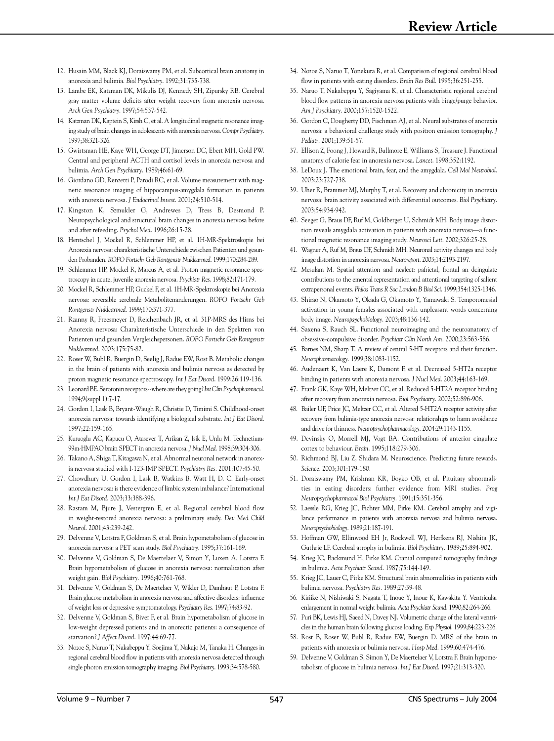- 12. Husain MM, Black KJ, Doraiswamy PM, et al. Subcortical brain anatomy in anorexia and bulimia. *Biol Psychiatry*. 1992;31:735-738.
- 13. Lambe EK, Katzman DK, Mikulis DJ, Kennedy SH, Zipursky RB. Cerebral gray matter volume deficits after weight recovery from anorexia nervosa. *Arch Gen Psychiatry*. 1997;54:537-542.
- 14. Katzman DK, Kaptein S, Kirsh C, et al. A longitudinal magnetic resonance imaging study of brain changes in adolescents with anorexia nervosa. *Compr Psychiatry*. 1997;38:321-326.
- 15. Gwirtsman HE, Kaye WH, George DT, Jimerson DC, Ebert MH, Gold PW. Central and peripheral ACTH and cortisol levels in anorexia nervosa and bulimia. *Arch Gen Psychiatry*. 1989;46:61-69.
- 16. Giordano GD, Renzetti P, Parodi RC, et al. Volume measurement with magnetic resonance imaging of hippocampus-amygdala formation in patients with anorexia nervosa. *J Endocrinol Invest*. 2001;24:510-514.
- 17. Kingston K, Szmukler G, Andrewes D, Tress B, Desmond P. Neuropsychological and structural brain changes in anorexia nervosa before and after refeeding. *Psychol Med*. 1996;26:15-28.
- 18. Hentschel J, Mockel R, Schlemmer HP, et al. 1H-MR-Spektroskopie bei Anorexia nervosa: charakteristische Unterschiede zwischen Patienten und gesunden Probanden. *ROFO Fortschr Geb Rontgenstr Nuklearmed*. 1999;170:284-289.
- 19. Schlemmer HP, Mockel R, Marcus A, et al. Proton magnetic resonance spectroscopy in acute, juvenile anorexia nervosa. *Psychiatr Res*. 1998;82:171-179.
- 20. Mockel R, Schlemmer HP, Guckel F, et al. 1H-MR-Spektroskopie bei Anorexia nervosa: reversible zerebrale Metabolitenanderungen. *ROFO Fortschr Geb Rontgenstr Nuklearmed*. 1999;170:371-377.
- 21. Rzanny R, Freesmeyer D, Reichenbach JR, et al. 31P-MRS des Hirns bei Anorexia nervosa: Charakteristische Unterschiede in den Spektren von Patienten und gesunden Vergleichspersonen. *ROFO Fortschr Geb Rontgenstr Nuklearmed*. 2003;175:75-82.
- 22. Roser W, Bubl R, Buergin D, Seelig J, Radue EW, Rost B. Metabolic changes in the brain of patients with anorexia and bulimia nervosa as detected by proton magnetic resonance spectroscopy. *Int J Eat Disord*. 1999;26:119-136.
- 23. Leonard BE. Serotonin receptors--where are they going? *Int Clin Psychopharmacol*. 1994;9(suppl 1):7-17.
- 24. Gordon I, Lask B, Bryant-Waugh R, Christie D, Timimi S. Childhood-onset anorexia nervosa: towards identifying a biological substrate. *Int J Eat Disord*. 1997;22:159-165.
- 25. Kuruoglu AC, Kapucu O, Atasever T, Arikan Z, Isik E, Unlu M. Technetium-99m-HMPAO brain SPECT in anorexia nervosa. *J Nucl Med*. 1998;39:304-306.
- 26. Takano A, Shiga T, Kitagawa N, et al. Abnormal neuronal network in anorexia nervosa studied with I-123-IMP SPECT. *Psychiatry Res*. 2001;107:45-50.
- 27. Chowdhury U, Gordon I, Lask B, Watkins B, Watt H, D. C. Early-onset anorexia nervosa: is there evidence of limbic system imbalance? International *Int J Eat Disord*. 2003;33:388-396.
- 28. Rastam M, Bjure J, Vestergren E, et al. Regional cerebral blood flow in weight-restored anorexia nervosa: a preliminary study. *Dev Med Child Neurol*. 2001;43:239-242.
- 29. Delvenne V, Lotstra F, Goldman S, et al. Brain hypometabolism of glucose in anorexia nervosa: a PET scan study. *Biol Psychiatry*. 1995;37:161-169.
- 30. Delvenne V, Goldman S, De Maertelaer V, Simon Y, Luxen A, Lotstra F. Brain hypometabolism of glucose in anorexia nervosa: normalization after weight gain. *Biol Psychiatry*. 1996;40:761-768.
- 31. Delvenne V, Goldman S, De Maertelaer V, Wikler D, Damhaut P, Lotstra F. Brain glucose metabolism in anorexia nervosa and affective disorders: influence of weight loss or depressive symptomatology. *Psychiatry Res*. 1997;74:83-92.
- 32. Delvenne V, Goldman S, Biver F, et al. Brain hypometabolism of glucose in low-weight depressed patients and in anorectic patients: a consequence of starvation? *J Affect Disord*. 1997;44:69-77.
- 33. Nozoe S, Naruo T, Nakabeppu Y, Soejima Y, Nakajo M, Tanaka H. Changes in regional cerebral blood flow in patients with anorexia nervosa detected through single photon emission tomography imaging. *Biol Psychiatry*. 1993;34:578-580.
- 34. Nozoe S, Naruo T, Yonekura R, et al. Comparison of regional cerebral blood flow in patients with eating disorders. *Brain Res Bull*. 1995;36:251-255.
- 35. Naruo T, Nakabeppu Y, Sagiyama K, et al. Characteristic regional cerebral blood flow patterns in anorexia nervosa patients with binge/purge behavior. *Am J Psychiatry*. 2000;157:1520-1522.
- 36. Gordon C, Dougherty DD, Fischman AJ, et al. Neural substrates of anorexia nervosa: a behavioral challenge study with positron emission tomography. *J Pediatr*. 2001;139:51-57.
- 37. Ellison Z, Foong J, Howard R, Bullmore E, Williams S, Treasure J. Functional anatomy of calorie fear in anorexia nervosa. *Lancet*. 1998;352:1192.
- 38. LeDoux J. The emotional brain, fear, and the amygdala. *Cell Mol Neurobiol*. 2003;23:727-738.
- 39. Uher R, Brammer MJ, Murphy T, et al. Recovery and chronicity in anorexia nervosa: brain activity associated with differential outcomes. *Biol Psychiatry*. 2003;54:934-942.
- 40. Seeger G, Braus DF, Ruf M, Goldberger U, Schmidt MH. Body image distortion reveals amygdala activation in patients with anorexia nervosa—a functional magnetic resonance imaging study. *Neurosci Lett*. 2002;326:25-28.
- 41. Wagner A, Ruf M, Braus DF, Schmidt MH. Neuronal activity changes and body image distortion in anorexia nervosa. *Neuroreport*. 2003;14:2193-2197.
- 42. Mesulam M. Spatial attention and neglect: pafrietal, frontal an dcingulate contributions to the emental representation and attentional targeting of salient extrapersonal events. *Philos Trans R Soc London B Biol Sci*. 1999;354:1325-1346.
- 43. Shirao N, Okamoto Y, Okada G, Okamoto Y, Yamawaki S. Temporomesial activation in young females associated with unpleasant words concerning body image. *Neuropsychobiology*. 2003;48:136-142.
- 44. Saxena S, Rauch SL. Functional neuroimaging and the neuroanatomy of obsessive-compulsive disorder. *Psychiatr Clin North Am*. 2000;23:563-586.
- 45. Barnes NM, Sharp T. A review of central 5-HT receptors and their function. *Neuropharmacology.* 1999;38:1083-1152.
- 46. Audenaert K, Van Laere K, Dumont F, et al. Decreased 5-HT2a receptor binding in patients with anorexia nervosa. *J Nucl Med*. 2003;44:163-169.
- 47. Frank GK, Kaye WH, Meltzer CC, et al. Reduced 5-HT2A receptor binding after recovery from anorexia nervosa. *Biol Psychiatry*. 2002;52:896-906.
- 48. Bailer UF, Price JC, Meltzer CC, et al. Altered 5-HT2A receptor activity after recovery from bulimia-type anorexia nervosa: relationships to harm avoidance and drive for thinness. *Neuropsychopharmacology*. 2004:29:1143-1155.
- 49. Devinsky O, Morrell MJ, Vogt BA. Contributions of anterior cingulate cortex to behaviour. *Brain*. 1995;118:279-306.
- 50. Richmond BJ, Liu Z, Shidara M. Neuroscience. Predicting future rewards. *Science*. 2003;301:179-180.
- 51. Doraiswamy PM, Krishnan KR, Boyko OB, et al. Pituitary abnormalities in eating disorders: further evidence from MRI studies. *Prog Neuropsychopharmacol Biol Psychiatry*. 1991;15:351-356.
- 52. Laessle RG, Krieg JC, Fichter MM, Pirke KM. Cerebral atrophy and vigilance performance in patients with anorexia nervosa and bulimia nervosa. *Neuropsychobiology*. 1989;21:187-191.
- 53. Hoffman GW, Ellinwood EH Jr, Rockwell WJ, Herfkens RJ, Nishita JK, Guthrie LF. Cerebral atrophy in bulimia. *Biol Psychiatry*. 1989;25:894-902.
- 54. Krieg JC, Backmund H, Pirke KM. Cranial computed tomography findings in bulimia. *Acta Psychiatr Scand*. 1987;75:144-149.
- 55. Krieg JC, Lauer C, Pirke KM. Structural brain abnormalities in patients with bulimia nervosa. *Psychiatry Res*. 1989;27:39-48.
- 56. Kiriike N, Nishiwaki S, Nagata T, Inoue Y, Inoue K, Kawakita Y. Ventricular enlargement in normal weight bulimia. *Acta Psychiatr Scand*. 1990;82:264-266.
- 57. Puri BK, Lewis HJ, Saeed N, Davey NJ. Volumetric change of the lateral ventricles in the human brain following glucose loading. *Exp Physiol*. 1999;84:223-226.
- 58. Rost B, Roser W, Bubl R, Radue EW, Buergin D. MRS of the brain in patients with anorexia or bulimia nervosa. *Hosp Med*. 1999;60:474-476.
- 59. Delvenne V, Goldman S, Simon Y, De Maertelaer V, Lotstra F. Brain hypometabolism of glucose in bulimia nervosa. *Int J Eat Disord*. 1997;21:313-320.